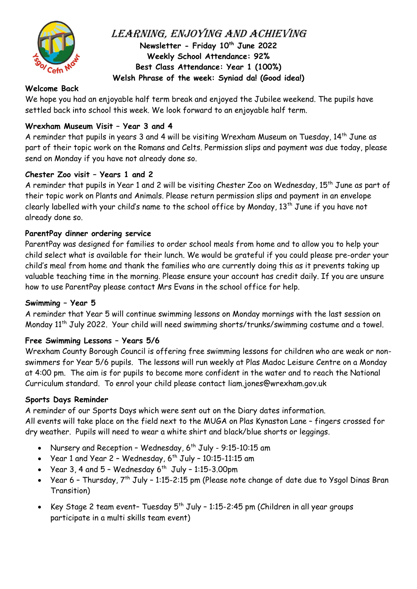

Learning, Enjoying and Achieving **Newsletter - Friday 10th June 2022 Weekly School Attendance: 92% Best Class Attendance: Year 1 (100%) Welsh Phrase of the week: Syniad da! (Good idea!)** 

## **Welcome Back**

We hope you had an enjoyable half term break and enjoyed the Jubilee weekend. The pupils have settled back into school this week. We look forward to an enjoyable half term.

## **Wrexham Museum Visit – Year 3 and 4**

A reminder that pupils in years 3 and 4 will be visiting Wrexham Museum on Tuesday, 14<sup>th</sup> June as part of their topic work on the Romans and Celts. Permission slips and payment was due today, please send on Monday if you have not already done so.

#### **Chester Zoo visit – Years 1 and 2**

A reminder that pupils in Year 1 and 2 will be visiting Chester Zoo on Wednesday, 15<sup>th</sup> June as part of their topic work on Plants and Animals. Please return permission slips and payment in an envelope clearly labelled with your child's name to the school office by Monday, 13th June if you have not already done so.

#### **ParentPay dinner ordering service**

ParentPay was designed for families to order school meals from home and to allow you to help your child select what is available for their lunch. We would be grateful if you could please pre-order your child's meal from home and thank the families who are currently doing this as it prevents taking up valuable teaching time in the morning. Please ensure your account has credit daily. If you are unsure how to use ParentPay please contact Mrs Evans in the school office for help.

#### **Swimming – Year 5**

A reminder that Year 5 will continue swimming lessons on Monday mornings with the last session on Monday 11<sup>th</sup> July 2022. Your child will need swimming shorts/trunks/swimming costume and a towel.

#### **Free Swimming Lessons – Years 5/6**

Wrexham County Borough Council is offering free swimming lessons for children who are weak or nonswimmers for Year 5/6 pupils. The lessons will run weekly at Plas Madoc Leisure Centre on a Monday at 4:00 pm. The aim is for pupils to become more confident in the water and to reach the National Curriculum standard. To enrol your child please contact liam.jones@wrexham.gov.uk

#### **Sports Days Reminder**

A reminder of our Sports Days which were sent out on the Diary dates information.

All events will take place on the field next to the MUGA on Plas Kynaston Lane – fingers crossed for dry weather. Pupils will need to wear a white shirt and black/blue shorts or leggings.

- Nursery and Reception Wednesday,  $6^{th}$  July 9:15-10:15 am
- Year 1 and Year 2 Wednesday,  $6^{th}$  July 10:15-11:15 am
- Year 3, 4 and  $5$  Wednesday 6<sup>th</sup> July 1:15-3.00pm
- Year 6 Thursday,  $7<sup>th</sup>$  July 1:15-2:15 pm (Please note change of date due to Ysgol Dinas Bran Transition)
- Key Stage 2 team event- Tuesday  $5^{th}$  July 1:15-2:45 pm (Children in all year groups participate in a multi skills team event)